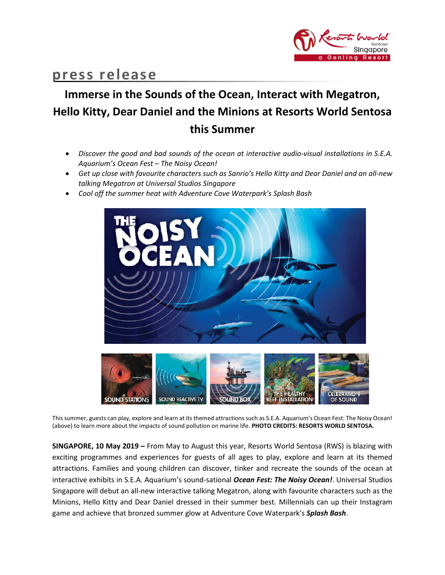

## **press release**

# **Immerse in the Sounds of the Ocean, Interact with Megatron, Hello Kitty, Dear Daniel and the Minions at Resorts World Sentosa this Summer**

- *Discover the good and bad sounds of the ocean at interactive audio-visual installations in S.E.A. Aquarium's Ocean Fest – The Noisy Ocean!*
- *Get up close with favourite characters such as Sanrio's Hello Kitty and Dear Daniel and an all-new talking Megatron at Universal Studios Singapore*
- *Cool off the summer heat with Adventure Cove Waterpark's Splash Bash*



This summer, guests can play, explore and learn at its themed attractions such as S.E.A. Aquarium's Ocean Fest: The Noisy Ocean! (above) to learn more about the impacts of sound pollution on marine life. **PHOTO CREDITS: RESORTS WORLD SENTOSA.**

**SINGAPORE, 10 May 2019 –** From May to August this year, Resorts World Sentosa (RWS) is blazing with exciting programmes and experiences for guests of all ages to play, explore and learn at its themed attractions. Families and young children can discover, tinker and recreate the sounds of the ocean at interactive exhibits in S.E.A. Aquarium's sound-sational *Ocean Fest: The Noisy Ocean!*. Universal Studios Singapore will debut an all-new interactive talking Megatron, along with favourite characters such as the Minions, Hello Kitty and Dear Daniel dressed in their summer best. Millennials can up their Instagram game and achieve that bronzed summer glow at Adventure Cove Waterpark's *Splash Bash*.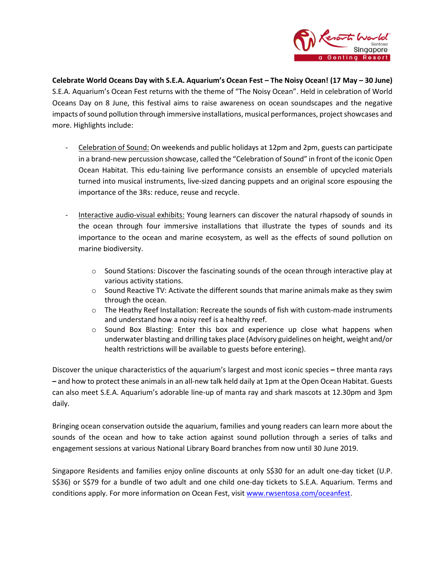

**Celebrate World Oceans Day with S.E.A. Aquarium's Ocean Fest – The Noisy Ocean! (17 May – 30 June)** S.E.A. Aquarium's Ocean Fest returns with the theme of "The Noisy Ocean". Held in celebration of World Oceans Day on 8 June, this festival aims to raise awareness on ocean soundscapes and the negative impacts of sound pollution through immersive installations, musical performances, project showcases and more. Highlights include:

- Celebration of Sound: On weekends and public holidays at 12pm and 2pm, guests can participate in a brand-new percussion showcase, called the "Celebration of Sound" in front of the iconic Open Ocean Habitat. This edu-taining live performance consists an ensemble of upcycled materials turned into musical instruments, live-sized dancing puppets and an original score espousing the importance of the 3Rs: reduce, reuse and recycle.
- Interactive audio-visual exhibits: Young learners can discover the natural rhapsody of sounds in the ocean through four immersive installations that illustrate the types of sounds and its importance to the ocean and marine ecosystem, as well as the effects of sound pollution on marine biodiversity.
	- $\circ$  Sound Stations: Discover the fascinating sounds of the ocean through interactive play at various activity stations.
	- $\circ$  Sound Reactive TV: Activate the different sounds that marine animals make as they swim through the ocean.
	- $\circ$  The Heathy Reef Installation: Recreate the sounds of fish with custom-made instruments and understand how a noisy reef is a healthy reef.
	- $\circ$  Sound Box Blasting: Enter this box and experience up close what happens when underwater blasting and drilling takes place (Advisory guidelines on height, weight and/or health restrictions will be available to guests before entering).

Discover the unique characteristics of the aquarium's largest and most iconic species **–** three manta rays **–** and how to protect these animalsin an all-new talk held daily at 1pm at the Open Ocean Habitat. Guests can also meet S.E.A. Aquarium's adorable line-up of manta ray and shark mascots at 12.30pm and 3pm daily.

Bringing ocean conservation outside the aquarium, families and young readers can learn more about the sounds of the ocean and how to take action against sound pollution through a series of talks and engagement sessions at various National Library Board branches from now until 30 June 2019.

Singapore Residents and families enjoy online discounts at only S\$30 for an adult one-day ticket (U.P. S\$36) or S\$79 for a bundle of two adult and one child one-day tickets to S.E.A. Aquarium. Terms and conditions apply. For more information on Ocean Fest, visit [www.rwsentosa.com/oceanfest.](http://www.rwsentosa.com/oceanfest)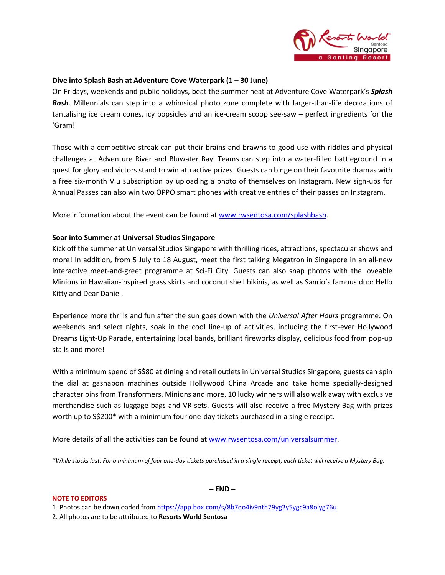

## **Dive into Splash Bash at Adventure Cove Waterpark (1 – 30 June)**

On Fridays, weekends and public holidays, beat the summer heat at Adventure Cove Waterpark's *Splash Bash*. Millennials can step into a whimsical photo zone complete with larger-than-life decorations of tantalising ice cream cones, icy popsicles and an ice-cream scoop see-saw – perfect ingredients for the 'Gram!

Those with a competitive streak can put their brains and brawns to good use with riddles and physical challenges at Adventure River and Bluwater Bay. Teams can step into a water-filled battleground in a quest for glory and victors stand to win attractive prizes! Guests can binge on their favourite dramas with a free six-month Viu subscription by uploading a photo of themselves on Instagram. New sign-ups for Annual Passes can also win two OPPO smart phones with creative entries of their passes on Instagram.

More information about the event can be found at [www.rwsentosa.com/splashbash.](http://www.rwsentosa.com/splashbash)

## **Soar into Summer at Universal Studios Singapore**

Kick off the summer at Universal Studios Singapore with thrilling rides, attractions, spectacular shows and more! In addition, from 5 July to 18 August, meet the first talking Megatron in Singapore in an all-new interactive meet-and-greet programme at Sci-Fi City. Guests can also snap photos with the loveable Minions in Hawaiian-inspired grass skirts and coconut shell bikinis, as well as Sanrio's famous duo: Hello Kitty and Dear Daniel.

Experience more thrills and fun after the sun goes down with the *Universal After Hours* programme. On weekends and select nights, soak in the cool line-up of activities, including the first-ever Hollywood Dreams Light-Up Parade, entertaining local bands, brilliant fireworks display, delicious food from pop-up stalls and more!

With a minimum spend of S\$80 at dining and retail outlets in Universal Studios Singapore, guests can spin the dial at gashapon machines outside Hollywood China Arcade and take home specially-designed character pins from Transformers, Minions and more. 10 lucky winners will also walk away with exclusive merchandise such as luggage bags and VR sets. Guests will also receive a free Mystery Bag with prizes worth up to S\$200\* with a minimum four one-day tickets purchased in a single receipt.

More details of all the activities can be found at [www.rwsentosa.com/universalsummer.](http://www.rwsentosa.com/universalsummer)

*\*While stocks last. For a minimum of four one-day tickets purchased in a single receipt, each ticket will receive a Mystery Bag.* 

#### **NOTE TO EDITORS**

**– END –**

1. Photos can be downloaded from<https://app.box.com/s/8b7qo4iv9nth79yg2y5ygc9a8olyg76u> 2. All photos are to be attributed to **Resorts World Sentosa**